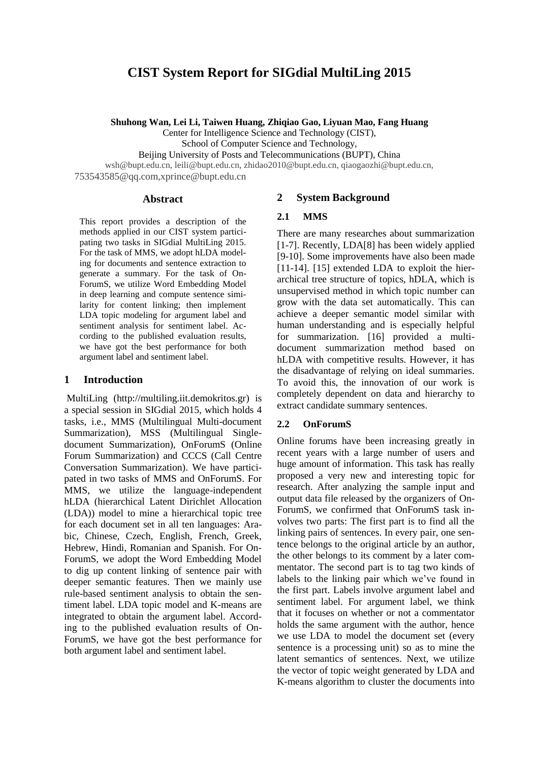# **CIST System Report for SIGdial MultiLing 2015**

**Shuhong Wan, Lei Li, Taiwen Huang, Zhiqiao Gao, Liyuan Mao, Fang Huang**

Center for Intelligence Science and Technology (CIST),

School of Computer Science and Technology,

Beijing University of Posts and Telecommunications (BUPT), China

wsh@bupt.edu.cn, leili@bupt.edu.cn, zhidao2010@bupt.edu.cn, qiaogaozhi@bupt.edu.cn, 753543585@qq.com,xprince@bupt.edu.cn

#### **Abstract**

This report provides a description of the methods applied in our CIST system participating two tasks in SIGdial MultiLing 2015. For the task of MMS, we adopt hLDA modeling for documents and sentence extraction to generate a summary. For the task of On-ForumS, we utilize Word Embedding Model in deep learning and compute sentence similarity for content linking; then implement LDA topic modeling for argument label and sentiment analysis for sentiment label. According to the published evaluation results, we have got the best performance for both argument label and sentiment label.

## **1 Introduction**

MultiLing (http://multiling.iit.demokritos.gr) is a special session in SIGdial 2015, which holds 4 tasks, i.e., MMS (Multilingual Multi-document Summarization), MSS (Multilingual Singledocument Summarization), OnForumS (Online Forum Summarization) and CCCS (Call Centre Conversation Summarization). We have participated in two tasks of MMS and OnForumS. For MMS, we utilize the language-independent hLDA (hierarchical Latent Dirichlet Allocation (LDA)) model to mine a hierarchical topic tree for each document set in all ten languages: Arabic, Chinese, Czech, English, French, Greek, Hebrew, Hindi, Romanian and Spanish. For On-ForumS, we adopt the Word Embedding Model to dig up content linking of sentence pair with deeper semantic features. Then we mainly use rule-based sentiment analysis to obtain the sentiment label. LDA topic model and K-means are integrated to obtain the argument label. According to the published evaluation results of On-ForumS, we have got the best performance for both argument label and sentiment label.

## **2 System Background**

### **2.1 MMS**

There are many researches about summarization [1-7]. Recently, LDA[8] has been widely applied [9-10]. Some improvements have also been made [11-14]. [15] extended LDA to exploit the hierarchical tree structure of topics, hDLA, which is unsupervised method in which topic number can grow with the data set automatically. This can achieve a deeper semantic model similar with human understanding and is especially helpful for summarization. [16] provided a multidocument summarization method based on hLDA with competitive results. However, it has the disadvantage of relying on ideal summaries. To avoid this, the innovation of our work is completely dependent on data and hierarchy to extract candidate summary sentences.

### **2.2 OnForumS**

Online forums have been increasing greatly in recent years with a large number of users and huge amount of information. This task has really proposed a very new and interesting topic for research. After analyzing the sample input and output data file released by the organizers of On-ForumS, we confirmed that OnForumS task involves two parts: The first part is to find all the linking pairs of sentences. In every pair, one sentence belongs to the original article by an author, the other belongs to its comment by a later commentator. The second part is to tag two kinds of labels to the linking pair which we've found in the first part. Labels involve argument label and sentiment label. For argument label, we think that it focuses on whether or not a commentator holds the same argument with the author, hence we use LDA to model the document set (every sentence is a processing unit) so as to mine the latent semantics of sentences. Next, we utilize the vector of topic weight generated by LDA and K-means algorithm to cluster the documents into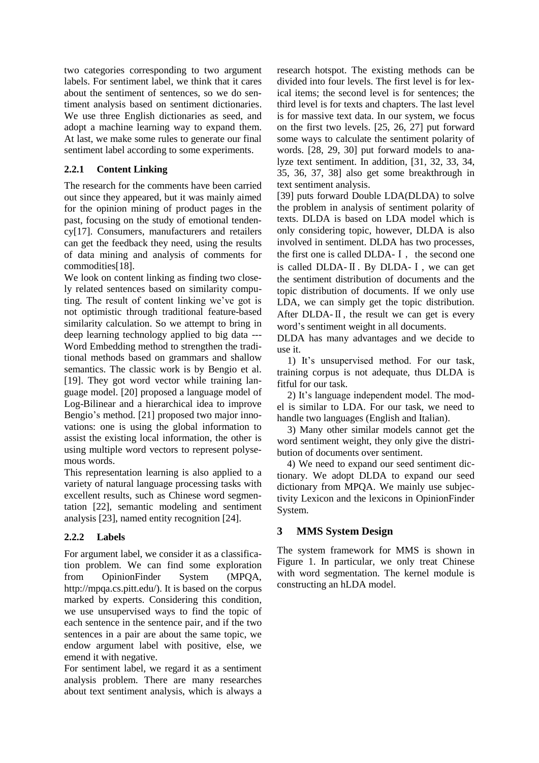two categories corresponding to two argument labels. For sentiment label, we think that it cares about the sentiment of sentences, so we do sentiment analysis based on sentiment dictionaries. We use three English dictionaries as seed, and adopt a machine learning way to expand them. At last, we make some rules to generate our final sentiment label according to some experiments.

## **2.2.1 Content Linking**

The research for the comments have been carried out since they appeared, but it was mainly aimed for the opinion mining of product pages in the past, focusing on the study of emotional tendency[17]. Consumers, manufacturers and retailers can get the feedback they need, using the results of data mining and analysis of comments for commodities[18].

We look on content linking as finding two closely related sentences based on similarity computing. The result of content linking we've got is not optimistic through traditional feature-based similarity calculation. So we attempt to bring in deep learning technology applied to big data --- Word Embedding method to strengthen the traditional methods based on grammars and shallow semantics. The classic work is by Bengio et al. [19]. They got word vector while training language model. [20] proposed a language model of Log-Bilinear and a hierarchical idea to improve Bengio's method. [21] proposed two major innovations: one is using the global information to assist the existing local information, the other is using multiple word vectors to represent polysemous words.

This representation learning is also applied to a variety of natural language processing tasks with excellent results, such as Chinese word segmentation [22], semantic modeling and sentiment analysis [23], named entity recognition [24].

## **2.2.2 Labels**

For argument label, we consider it as a classification problem. We can find some exploration from OpinionFinder System (MPQA, http://mpqa.cs.pitt.edu/). It is based on the corpus marked by experts. Considering this condition, we use unsupervised ways to find the topic of each sentence in the sentence pair, and if the two sentences in a pair are about the same topic, we endow argument label with positive, else, we emend it with negative.

For sentiment label, we regard it as a sentiment analysis problem. There are many researches about text sentiment analysis, which is always a research hotspot. The existing methods can be divided into four levels. The first level is for lexical items; the second level is for sentences; the third level is for texts and chapters. The last level is for massive text data. In our system, we focus on the first two levels. [25, 26, 27] put forward some ways to calculate the sentiment polarity of words. [28, 29, 30] put forward models to analyze text sentiment. In addition, [31, 32, 33, 34, 35, 36, 37, 38] also get some breakthrough in text sentiment analysis.

[39] puts forward Double LDA(DLDA) to solve the problem in analysis of sentiment polarity of texts. DLDA is based on LDA model which is only considering topic, however, DLDA is also involved in sentiment. DLDA has two processes, the first one is called  $DLDA-1$ , the second one is called DLDA-Ⅱ. By DLDA-Ⅰ, we can get the sentiment distribution of documents and the topic distribution of documents. If we only use LDA, we can simply get the topic distribution. After DLDA- $\Pi$ , the result we can get is every word's sentiment weight in all documents.

DLDA has many advantages and we decide to use it.

1) It's unsupervised method. For our task, training corpus is not adequate, thus DLDA is fitful for our task.

2) It's language independent model. The model is similar to LDA. For our task, we need to handle two languages (English and Italian).

3) Many other similar models cannot get the word sentiment weight, they only give the distribution of documents over sentiment.

4) We need to expand our seed sentiment dictionary. We adopt DLDA to expand our seed dictionary from MPQA. We mainly use subjectivity Lexicon and the lexicons in OpinionFinder System.

## **3 MMS System Design**

The system framework for MMS is shown in Figure 1. In particular, we only treat Chinese with word segmentation. The kernel module is constructing an hLDA model.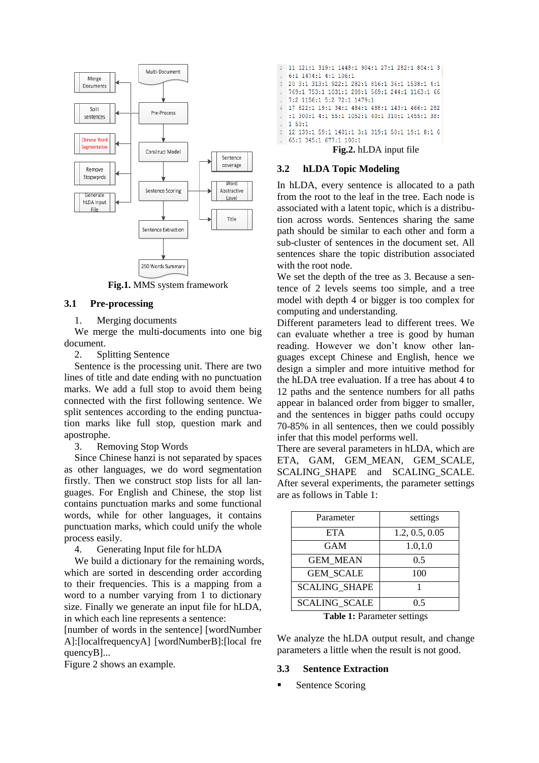

**Fig.1.** MMS system framework

#### **3.1 Pre-processing**

1. Merging documents

We merge the multi-documents into one big document.

2. Splitting Sentence

Sentence is the processing unit. There are two lines of title and date ending with no punctuation marks. We add a full stop to avoid them being connected with the first following sentence. We split sentences according to the ending punctuation marks like full stop, question mark and apostrophe.

3. Removing Stop Words

Since Chinese hanzi is not separated by spaces as other languages, we do word segmentation firstly. Then we construct stop lists for all languages. For English and Chinese, the stop list contains punctuation marks and some functional words, while for other languages, it contains punctuation marks, which could unify the whole process easily.

4. Generating Input file for hLDA

We build a dictionary for the remaining words, which are sorted in descending order according to their frequencies. This is a mapping from a word to a number varying from 1 to dictionary size. Finally we generate an input file for hLDA, in which each line represents a sentence:

[number of words in the sentence] [wordNumber A]:[localfrequencyA] [wordNumberB]:[local fre quencyB]...

Figure 2 shows an example.

2 11 121:1 319:1 1448:1 904:1 27:1 282:1 804:1 3 6:1 1474:1 4:1 106:1  $\overline{3}$ 20 3:1 313:1 922:1 282:1 816:1 36:1 1538:1 4:1 769:1 753:1 1031:1 208:1 569:1 244:1 1163:1 66 7:2 1156:1 5:2 72:1 1479:1 17 822:1 19:1 34:1 484:1 488:1 143:1 466:1 282  $\overline{4}$ :1 300:1 4:1 55:1 1052:1 40:1 310:1 1455:1 38:  $153:1$ 12 139:1 59:1 1401:1 3:1 319:1 50:1 19:1 8:1 6 65:1 345:1 677:1 100:1 n. **Fig.2.** hLDA input file

#### **3.2 hLDA Topic Modeling**

In hLDA, every sentence is allocated to a path from the root to the leaf in the tree. Each node is associated with a latent topic, which is a distribution across words. Sentences sharing the same path should be similar to each other and form a sub-cluster of sentences in the document set. All sentences share the topic distribution associated with the root node.

We set the depth of the tree as 3. Because a sentence of 2 levels seems too simple, and a tree model with depth 4 or bigger is too complex for computing and understanding.

Different parameters lead to different trees. We can evaluate whether a tree is good by human reading. However we don't know other languages except Chinese and English, hence we design a simpler and more intuitive method for the hLDA tree evaluation. If a tree has about 4 to 12 paths and the sentence numbers for all paths appear in balanced order from bigger to smaller, and the sentences in bigger paths could occupy 70-85% in all sentences, then we could possibly infer that this model performs well.

There are several parameters in hLDA, which are ETA, GAM, GEM\_MEAN, GEM\_SCALE, SCALING\_SHAPE and SCALING\_SCALE. After several experiments, the parameter settings are as follows in Table 1:

| Parameter            | settings       |
|----------------------|----------------|
| <b>ETA</b>           | 1.2, 0.5, 0.05 |
| <b>GAM</b>           | 1.0, 1.0       |
| <b>GEM MEAN</b>      | 0.5            |
| <b>GEM SCALE</b>     | 100            |
| <b>SCALING SHAPE</b> |                |
| <b>SCALING SCALE</b> | 0.5            |

**Table 1:** Parameter settings

We analyze the hLDA output result, and change parameters a little when the result is not good.

#### **3.3 Sentence Extraction**

Sentence Scoring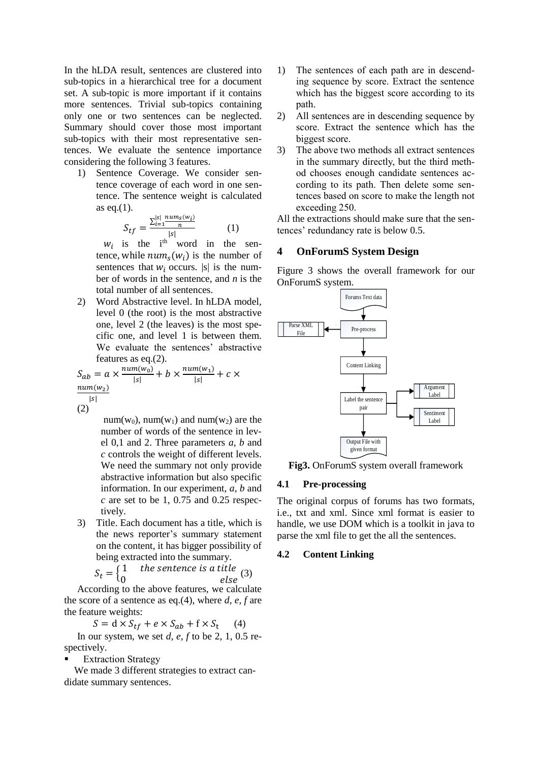In the hLDA result, sentences are clustered into sub-topics in a hierarchical tree for a document set. A sub-topic is more important if it contains more sentences. Trivial sub-topics containing only one or two sentences can be neglected. Summary should cover those most important sub-topics with their most representative sentences. We evaluate the sentence importance considering the following 3 features.

1) Sentence Coverage. We consider sentence coverage of each word in one sentence. The sentence weight is calculated as eq. $(1)$ .

$$
S_{tf} = \frac{\sum_{i=1}^{|s|} \frac{num_s(w_i)}{n}}{|s|}
$$
 (1)

 $w_i$  is the i<sup>th</sup> word in the sentence, while  $num_s(w_i)$  is the number of sentences that  $w_i$  occurs. |s| is the number of words in the sentence, and *n* is the total number of all sentences.

2) Word Abstractive level. In hLDA model, level 0 (the root) is the most abstractive one, level 2 (the leaves) is the most specific one, and level 1 is between them. We evaluate the sentences' abstractive features as eq.(2).

$$
S_{ab} = a \times \frac{num(w_0)}{|s|} + b \times \frac{num(w_1)}{|s|} + c \times \frac{num(w_2)}{|s|}
$$

(2)

num(w<sub>0</sub>), num(w<sub>1</sub>) and num(w<sub>2</sub>) are the number of words of the sentence in level 0,1 and 2. Three parameters *a*, *b* and *c* controls the weight of different levels. We need the summary not only provide abstractive information but also specific information. In our experiment, *a*, *b* and *c* are set to be 1, 0.75 and 0.25 respectively.

3) Title. Each document has a title, which is the news reporter's summary statement on the content, it has bigger possibility of being extracted into the summary.

$$
S_t = \begin{cases} 1 & \text{the sentence is a title} \\ 0 & \text{else} \end{cases} (3)
$$

According to the above features, we calculate the score of a sentence as eq.(4), where  $d$ ,  $e$ ,  $f$  are the feature weights:

$$
S = d \times S_{tf} + e \times S_{ab} + f \times S_t \tag{4}
$$

In our system, we set *d, e, f* to be 2, 1, 0.5 respectively.

Extraction Strategy

We made 3 different strategies to extract candidate summary sentences.

- 1) The sentences of each path are in descending sequence by score. Extract the sentence which has the biggest score according to its path.
- 2) All sentences are in descending sequence by score. Extract the sentence which has the biggest score.
- 3) The above two methods all extract sentences in the summary directly, but the third method chooses enough candidate sentences according to its path. Then delete some sentences based on score to make the length not exceeding 250.

All the extractions should make sure that the sentences' redundancy rate is below 0.5.

## **4 OnForumS System Design**

Figure 3 shows the overall framework for our OnForumS system.



**Fig3.** OnForumS system overall framework

### **4.1 Pre-processing**

The original corpus of forums has two formats, i.e., txt and xml. Since xml format is easier to handle, we use DOM which is a toolkit in java to parse the xml file to get the all the sentences.

#### **4.2 Content Linking**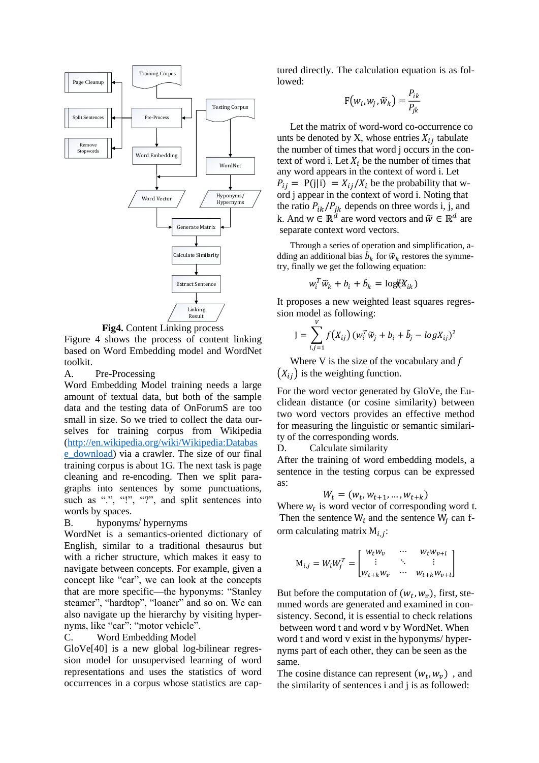

**Fig4.** Content Linking process

Figure 4 shows the process of content linking based on Word Embedding model and WordNet toolkit.

#### A. Pre-Processing

Word Embedding Model training needs a large amount of textual data, but both of the sample data and the testing data of OnForumS are too small in size. So we tried to collect the data ourselves for training corpus from Wikipedia [\(http://en.wikipedia.org/wiki/Wikipedia:Databas](http://en.wikipedia.org/wiki/Wikipedia:Database_download) [e\\_download\)](http://en.wikipedia.org/wiki/Wikipedia:Database_download) via a crawler. The size of our final training corpus is about 1G. The next task is page cleaning and re-encoding. Then we split paragraphs into sentences by some punctuations, such as ".", "!", "?", and split sentences into words by spaces.

#### B. hyponyms/ hypernyms

WordNet is a semantics-oriented dictionary of English, similar to a traditional thesaurus but with a richer structure, which makes it easy to navigate between concepts. For example, given a concept like "car", we can look at the concepts that are more specific—the hyponyms: "Stanley steamer", "hardtop", "loaner" and so on. We can also navigate up the hierarchy by visiting hypernyms, like "car": "motor vehicle".

#### C. Word Embedding Model

GloVe[40] is a new global log-bilinear regression model for unsupervised learning of word representations and uses the statistics of word occurrences in a corpus whose statistics are captured directly. The calculation equation is as followed:

$$
F(w_i, w_j, \widetilde{w}_k) = \frac{P_{ik}}{P_{jk}}
$$

Let the matrix of word-word co-occurrence co unts be denoted by X, whose entries  $X_{ij}$  tabulate the number of times that word j occurs in the context of word i. Let  $X_i$  be the number of times that any word appears in the context of word i. Let  $P_{ij} = P(j|i) = X_{ij}/X_i$  be the probability that word j appear in the context of word i. Noting that the ratio  $P_{ik}/P_{jk}$  depends on three words i, j, and k. And  $w \in \mathbb{R}^d$  are word vectors and  $\widetilde{w} \in \mathbb{R}^d$  are separate context word vectors.

Through a series of operation and simplification, adding an additional bias  $\tilde{b}_k$  for  $\tilde{w}_k$  restores the symmetry, finally we get the following equation:

$$
w_i^T \widetilde{w}_k + b_i + \widetilde{b}_k = \log(\mathfrak{A}_{ik})
$$

It proposes a new weighted least squares regression model as following:

$$
J = \sum_{i,j=1}^{V} f(X_{ij}) (w_i^T \widetilde{w}_j + b_i + \widetilde{b}_j - log X_{ij})^2
$$

Where V is the size of the vocabulary and  $f$  $(X_{ii})$  is the weighting function.

For the word vector generated by GloVe, the Euclidean distance (or cosine similarity) between two word vectors provides an effective method for measuring the linguistic or semantic similarity of the corresponding words.

D. Calculate similarity

After the training of word embedding models, a sentence in the testing corpus can be expressed as:

$$
W_t = (w_t, w_{t+1}, \dots, w_{t+k})
$$

Where  $w_t$  is word vector of corresponding word t. Then the sentence  $W_i$  and the sentence  $W_j$  can form calculating matrix  $M_{i,j}$ :

$$
\mathbf{M}_{i,j} = W_i W_j^T = \begin{bmatrix} w_t w_v & \cdots & w_t w_{v+t} \\ \vdots & \ddots & \vdots \\ w_{t+k} w_v & \cdots & w_{t+k} w_{v+t} \end{bmatrix}
$$

But before the computation of  $(w_t, w_v)$ , first, stemmed words are generated and examined in consistency. Second, it is essential to check relations between word t and word v by WordNet. When word t and word v exist in the hyponyms/ hypernyms part of each other, they can be seen as the same.

The cosine distance can represent  $(w_t, w_v)$ , and the similarity of sentences i and j is as followed: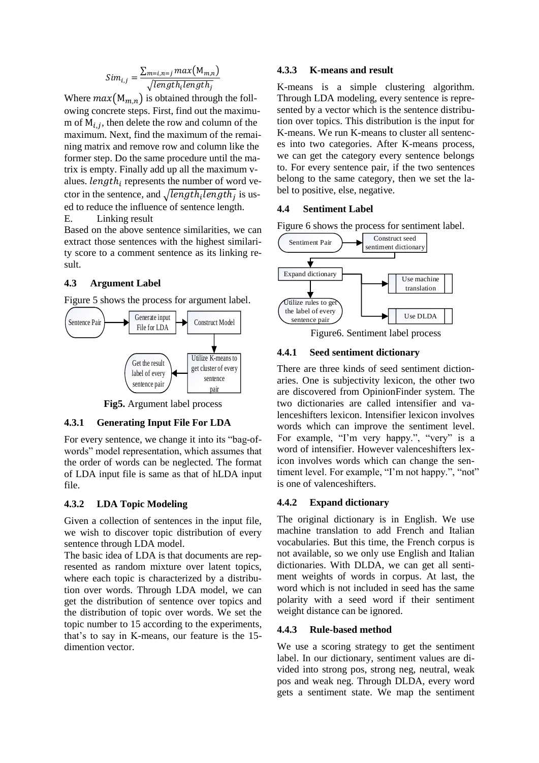$$
Sim_{i,j} = \frac{\sum_{m=i,n=j} max(M_{m,n})}{\sqrt{length_i length_j}}
$$

Where  $max(M_{m,n})$  is obtained through the following concrete steps. First, find out the maximum of  $M_{i,j}$ , then delete the row and column of the maximum. Next, find the maximum of the remaining matrix and remove row and column like the former step. Do the same procedure until the matrix is empty. Finally add up all the maximum values.  $length_i$  represents the number of word vector in the sentence, and  $\sqrt{length_{i}length_{j}}$  is used to reduce the influence of sentence length. E. Linking result

Based on the above sentence similarities, we can extract those sentences with the highest similarity score to a comment sentence as its linking result.

## **4.3 Argument Label**

Figure 5 shows the process for argument label.



**Fig5.** Argument label process

### **4.3.1 Generating Input File For LDA**

For every sentence, we change it into its "bag-ofwords" model representation, which assumes that the order of words can be neglected. The format of LDA input file is same as that of hLDA input file.

### **4.3.2 LDA Topic Modeling**

Given a collection of sentences in the input file, we wish to discover topic distribution of every sentence through LDA model.

The basic idea of LDA is that documents are represented as random mixture over latent topics, where each topic is characterized by a distribution over words. Through LDA model, we can get the distribution of sentence over topics and the distribution of topic over words. We set the topic number to 15 according to the experiments, that's to say in K-means, our feature is the 15 dimention vector.

### **4.3.3 K-means and result**

K-means is a simple clustering algorithm. Through LDA modeling, every sentence is represented by a vector which is the sentence distribution over topics. This distribution is the input for K-means. We run K-means to cluster all sentences into two categories. After K-means process, we can get the category every sentence belongs to. For every sentence pair, if the two sentences belong to the same category, then we set the label to positive, else, negative.

#### **4.4 Sentiment Label**

Figure 6 shows the process for sentiment label.



Figure6. Sentiment label process

## **4.4.1 Seed sentiment dictionary**

There are three kinds of seed sentiment dictionaries. One is subjectivity lexicon, the other two are discovered from OpinionFinder system. The two dictionaries are called intensifier and valenceshifters lexicon. Intensifier lexicon involves words which can improve the sentiment level. For example, "I'm very happy.", "very" is a word of intensifier. However valenceshifters lexicon involves words which can change the sentiment level. For example, "I'm not happy.", "not" is one of valenceshifters.

#### **4.4.2 Expand dictionary**

The original dictionary is in English. We use machine translation to add French and Italian vocabularies. But this time, the French corpus is not available, so we only use English and Italian dictionaries. With DLDA, we can get all sentiment weights of words in corpus. At last, the word which is not included in seed has the same polarity with a seed word if their sentiment weight distance can be ignored.

#### **4.4.3 Rule-based method**

We use a scoring strategy to get the sentiment label. In our dictionary, sentiment values are divided into strong pos, strong neg, neutral, weak pos and weak neg. Through DLDA, every word gets a sentiment state. We map the sentiment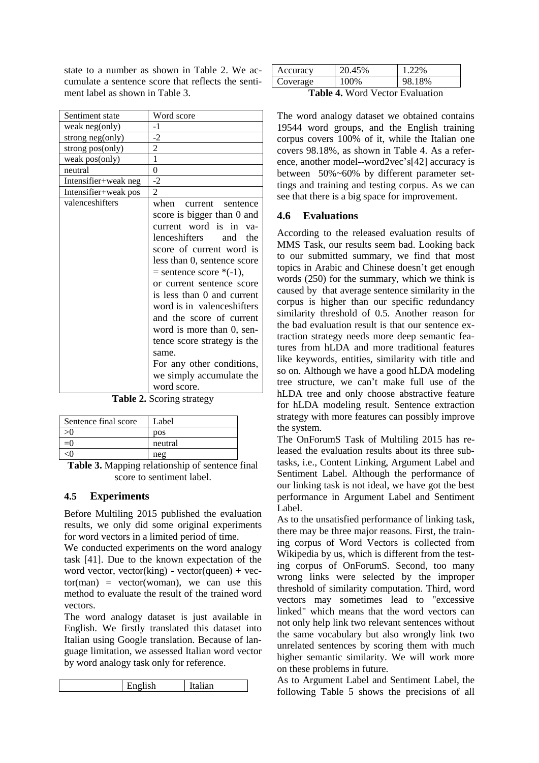state to a number as shown in Table 2. We accumulate a sentence score that reflects the sentiment label as shown in Table 3.

| Sentiment state      | Word score                                                                                                                                                                                                                                                                                                                                                                                                                                                             |
|----------------------|------------------------------------------------------------------------------------------------------------------------------------------------------------------------------------------------------------------------------------------------------------------------------------------------------------------------------------------------------------------------------------------------------------------------------------------------------------------------|
| weak neg(only)       | $-1$                                                                                                                                                                                                                                                                                                                                                                                                                                                                   |
| strong neg(only)     | $-2$                                                                                                                                                                                                                                                                                                                                                                                                                                                                   |
| strong pos(only)     | 2                                                                                                                                                                                                                                                                                                                                                                                                                                                                      |
| weak pos(only)       | 1                                                                                                                                                                                                                                                                                                                                                                                                                                                                      |
| neutral              | 0                                                                                                                                                                                                                                                                                                                                                                                                                                                                      |
| Intensifier+weak neg | $-2$                                                                                                                                                                                                                                                                                                                                                                                                                                                                   |
| Intensifier+weak pos | $\overline{c}$                                                                                                                                                                                                                                                                                                                                                                                                                                                         |
| valenceshifters      | when current sentence<br>score is bigger than 0 and<br>current word is in va-<br>lenceshifters and<br>the<br>score of current word is<br>less than 0, sentence score<br>$=$ sentence score $*(-1)$ ,<br>or current sentence score<br>is less than 0 and current<br>word is in valenceshifters<br>and the score of current<br>word is more than 0, sen-<br>tence score strategy is the<br>same.<br>For any other conditions,<br>we simply accumulate the<br>word score. |

**Table 2.** Scoring strategy

| Sentence final score               | Label       |
|------------------------------------|-------------|
|                                    | pos         |
| $=()$                              | neutral     |
|                                    | neg         |
| $\overline{\phantom{a}}$<br>$\sim$ | .<br>$\sim$ |

**Table 3.** Mapping relationship of sentence final score to sentiment label.

## **4.5 Experiments**

Before Multiling 2015 published the evaluation results, we only did some original experiments for word vectors in a limited period of time.

We conducted experiments on the word analogy task [41]. Due to the known expectation of the word vector, vector(king) - vector(queen) + vec $tor(man)$  = vector(woman), we can use this method to evaluate the result of the trained word vectors.

The word analogy dataset is just available in English. We firstly translated this dataset into Italian using Google translation. Because of language limitation, we assessed Italian word vector by word analogy task only for reference.

| $\cdot$ -1. | . |  |
|-------------|---|--|
|-------------|---|--|

| Accuracy | 20.45% | 1 22%  |
|----------|--------|--------|
| Coverage | 100%   | 98.18% |
| -- - -   |        |        |

**Table 4.** Word Vector Evaluation

The word analogy dataset we obtained contains 19544 word groups, and the English training corpus covers 100% of it, while the Italian one covers 98.18%, as shown in Table 4. As a reference, another model--word2vec's[42] accuracy is between 50%~60% by different parameter settings and training and testing corpus. As we can see that there is a big space for improvement.

# **4.6 Evaluations**

According to the released evaluation results of MMS Task, our results seem bad. Looking back to our submitted summary, we find that most topics in Arabic and Chinese doesn't get enough words (250) for the summary, which we think is caused by that average sentence similarity in the corpus is higher than our specific redundancy similarity threshold of 0.5. Another reason for the bad evaluation result is that our sentence extraction strategy needs more deep semantic features from hLDA and more traditional features like keywords, entities, similarity with title and so on. Although we have a good hLDA modeling tree structure, we can't make full use of the hLDA tree and only choose abstractive feature for hLDA modeling result. Sentence extraction strategy with more features can possibly improve the system.

The OnForumS Task of Multiling 2015 has released the evaluation results about its three subtasks, i.e., Content Linking, Argument Label and Sentiment Label. Although the performance of our linking task is not ideal, we have got the best performance in Argument Label and Sentiment Label.

As to the unsatisfied performance of linking task, there may be three major reasons. First, the training corpus of Word Vectors is collected from Wikipedia by us, which is different from the testing corpus of OnForumS. Second, too many wrong links were selected by the improper threshold of similarity computation. Third, word vectors may sometimes lead to "excessive linked" which means that the word vectors can not only help link two relevant sentences without the same vocabulary but also wrongly link two unrelated sentences by scoring them with much higher semantic similarity. We will work more on these problems in future.

As to Argument Label and Sentiment Label, the following Table 5 shows the precisions of all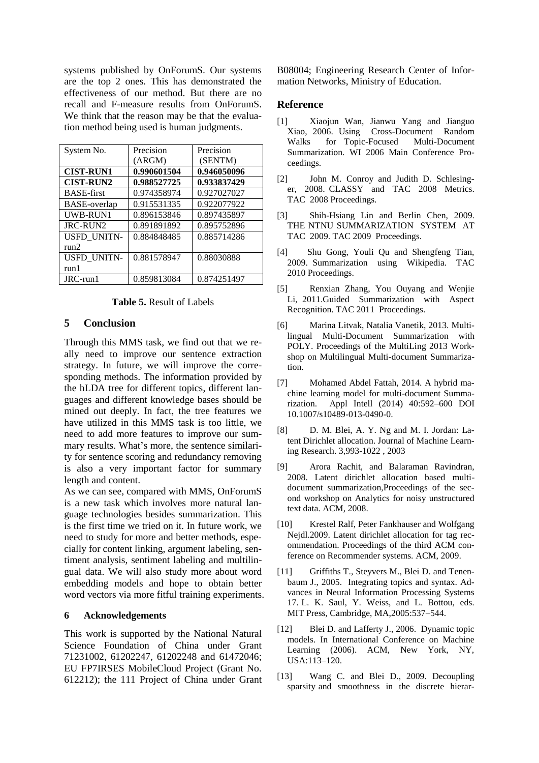systems published by OnForumS. Our systems are the top 2 ones. This has demonstrated the effectiveness of our method. But there are no recall and F-measure results from OnForumS. We think that the reason may be that the evaluation method being used is human judgments.

| System No.          | Precision   | Precision   |
|---------------------|-------------|-------------|
|                     | (ARGM)      | (SENTM)     |
| <b>CIST-RUN1</b>    | 0.990601504 | 0.946050096 |
| <b>CIST-RUN2</b>    | 0.988527725 | 0.933837429 |
| <b>BASE-first</b>   | 0.974358974 | 0.927027027 |
| <b>BASE-overlap</b> | 0.915531335 | 0.922077922 |
| UWB-RUN1            | 0.896153846 | 0.897435897 |
| JRC-RUN2            | 0.891891892 | 0.895752896 |
| <b>USFD UNITN-</b>  | 0.884848485 | 0.885714286 |
| run2                |             |             |
| USFD_UNITN-         | 0.881578947 | 0.88030888  |
| run1                |             |             |
| JRC-run1            | 0.859813084 | 0.874251497 |

#### **Table 5.** Result of Labels

### **5 Conclusion**

Through this MMS task, we find out that we really need to improve our sentence extraction strategy. In future, we will improve the corresponding methods. The information provided by the hLDA tree for different topics, different languages and different knowledge bases should be mined out deeply. In fact, the tree features we have utilized in this MMS task is too little, we need to add more features to improve our summary results. What's more, the sentence similarity for sentence scoring and redundancy removing is also a very important factor for summary length and content.

As we can see, compared with MMS, OnForumS is a new task which involves more natural language technologies besides summarization. This is the first time we tried on it. In future work, we need to study for more and better methods, especially for content linking, argument labeling, sentiment analysis, sentiment labeling and multilingual data. We will also study more about word embedding models and hope to obtain better word vectors via more fitful training experiments.

#### **6 Acknowledgements**

This work is supported by the National Natural Science Foundation of China under Grant 71231002, 61202247, 61202248 and 61472046; EU FP7IRSES MobileCloud Project (Grant No. 612212); the 111 Project of China under Grant

B08004; Engineering Research Center of Information Networks, Ministry of Education.

#### **Reference**

- [1] Xiaojun Wan, Jianwu Yang and Jianguo Xiao, 2006. Using Cross-Document Random Walks for Topic-Focused Multi-Document Summarization. WI 2006 Main Conference Proceedings.
- [2] John M. Conroy and Judith D. Schlesinger, 2008. CLASSY and TAC 2008 Metrics. TAC 2008 Proceedings.
- [3] Shih-Hsiang Lin and Berlin Chen, 2009. THE NTNU SUMMARIZATION SYSTEM AT TAC 2009. TAC 2009 Proceedings.
- [4] Shu Gong, Youli Qu and Shengfeng Tian, 2009. Summarization using Wikipedia. TAC 2010 Proceedings.
- [5] Renxian Zhang, You Ouyang and Wenjie Li, 2011.Guided Summarization with Aspect Recognition. TAC 2011 Proceedings.
- [6] Marina Litvak, Natalia Vanetik, 2013. Multilingual Multi-Document Summarization with POLY. Proceedings of the MultiLing 2013 Workshop on Multilingual Multi-document Summarization.
- [7] Mohamed Abdel Fattah, 2014. A hybrid machine learning model for multi-document Summarization. Appl Intell (2014) 40:592–600 DOI 10.1007/s10489-013-0490-0.
- [8] D. M. Blei, A. Y. Ng and M. I. Jordan: Latent Dirichlet allocation. Journal of Machine Learning Research. 3,993-1022 , 2003
- [9] Arora Rachit, and Balaraman Ravindran, 2008. Latent dirichlet allocation based multidocument summarization,Proceedings of the second workshop on Analytics for noisy unstructured text data. ACM, 2008.
- [10] Krestel Ralf, Peter Fankhauser and Wolfgang Nejdl.2009. Latent dirichlet allocation for tag recommendation. Proceedings of the third ACM conference on Recommender systems. ACM, 2009.
- [11] Griffiths T., Steyvers M., Blei D. and Tenenbaum J., 2005. Integrating topics and syntax. Advances in Neural Information Processing Systems 17. L. K. Saul, Y. Weiss, and L. Bottou, eds. MIT Press, Cambridge, MA,2005:537–544.
- [12] Blei D. and Lafferty J., 2006. Dynamic topic models. In International Conference on Machine Learning (2006). ACM, New York, NY, USA:113–120.
- [13] Wang C. and Blei D., 2009. Decoupling sparsity and smoothness in the discrete hierar-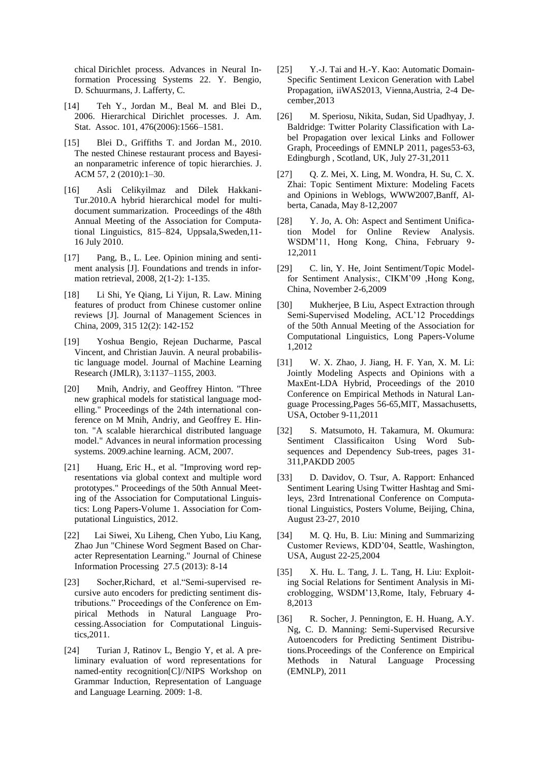chical Dirichlet process. Advances in Neural Information Processing Systems 22. Y. Bengio, D. Schuurmans, J. Lafferty, C.

- [14] Teh Y., Jordan M., Beal M. and Blei D., 2006. Hierarchical Dirichlet processes. J. Am. Stat. Assoc. 101, 476(2006):1566–1581.
- [15] Blei D., Griffiths T. and Jordan M., 2010. The nested Chinese restaurant process and Bayesian nonparametric inference of topic hierarchies. J. ACM 57, 2 (2010):1–30.
- [16] Asli Celikyilmaz and Dilek Hakkani-Tur.2010.A hybrid hierarchical model for multidocument summarization. Proceedings of the 48th Annual Meeting of the Association for Computational Linguistics, 815–824, Uppsala,Sweden,11- 16 July 2010.
- [17] Pang, B., L. Lee. Opinion mining and sentiment analysis [J]. Foundations and trends in information retrieval, 2008, 2(1-2): 1-135.
- [18] Li Shi, Ye Qiang, Li Yijun, R. Law. Mining features of product from Chinese customer online reviews [J]. Journal of Management Sciences in China, 2009, 315 12(2): 142-152
- [19] Yoshua Bengio, Rejean Ducharme, Pascal Vincent, and Christian Jauvin. A neural probabilistic language model. Journal of Machine Learning Research (JMLR), 3:1137–1155, 2003.
- [20] Mnih, Andriy, and Geoffrey Hinton. "Three new graphical models for statistical language modelling." Proceedings of the 24th international conference on M Mnih, Andriy, and Geoffrey E. Hinton. "A scalable hierarchical distributed language model." Advances in neural information processing systems. 2009.achine learning. ACM, 2007.
- [21] Huang, Eric H., et al. "Improving word representations via global context and multiple word prototypes." Proceedings of the 50th Annual Meeting of the Association for Computational Linguistics: Long Papers-Volume 1. Association for Computational Linguistics, 2012.
- [22] Lai Siwei, Xu Liheng, Chen Yubo, Liu Kang, Zhao Jun "Chinese Word Segment Based on Character Representation Learning." Journal of Chinese Information Processing 27.5 (2013): 8-14
- [23] Socher,Richard, et al."Semi-supervised recursive auto encoders for predicting sentiment distributions." Proceedings of the Conference on Empirical Methods in Natural Language Processing.Association for Computational Linguistics,2011.
- [24] Turian J, Ratinov L, Bengio Y, et al. A preliminary evaluation of word representations for named-entity recognition[C]//NIPS Workshop on Grammar Induction, Representation of Language and Language Learning. 2009: 1-8.
- [25] Y.-J. Tai and H.-Y. Kao: Automatic Domain-Specific Sentiment Lexicon Generation with Label Propagation, iiWAS2013, Vienna,Austria, 2-4 December,2013
- [26] M. Speriosu, Nikita, Sudan, Sid Upadhyay, J. Baldridge: Twitter Polarity Classification with Label Propagation over lexical Links and Follower Graph, Proceedings of EMNLP 2011, pages53-63, Edingburgh , Scotland, UK, July 27-31,2011
- [27] Q. Z. Mei, X. Ling, M. Wondra, H. Su, C. X. Zhai: Topic Sentiment Mixture: Modeling Facets and Opinions in Weblogs, WWW2007,Banff, Alberta, Canada, May 8-12,2007
- [28] Y. Jo, A. Oh: Aspect and Sentiment Unification Model for Online Review Analysis. WSDM'11, Hong Kong, China, February 9- 12,2011
- [29] C. lin, Y. He, Joint Sentiment/Topic Modelfor Sentiment Analysis:, CIKM'09 ,Hong Kong, China, November 2-6,2009
- [30] Mukherjee, B Liu, Aspect Extraction through Semi-Supervised Modeling, ACL'12 Proceddings of the 50th Annual Meeting of the Association for Computational Linguistics, Long Papers-Volume 1,2012
- [31] W. X. Zhao, J. Jiang, H. F. Yan, X. M. Li: Jointly Modeling Aspects and Opinions with a MaxEnt-LDA Hybrid, Proceedings of the 2010 Conference on Empirical Methods in Natural Language Processing,Pages 56-65,MIT, Massachusetts, USA, October 9-11,2011
- [32] S. Matsumoto, H. Takamura, M. Okumura: Sentiment Classificaiton Using Word Subsequences and Dependency Sub-trees, pages 31- 311,PAKDD 2005
- [33] D. Davidov, O. Tsur, A. Rapport: Enhanced Sentiment Learing Using Twitter Hashtag and Smileys, 23rd Intrenational Conference on Computational Linguistics, Posters Volume, Beijing, China, August 23-27, 2010
- [34] M. Q. Hu, B. Liu: Mining and Summarizing Customer Reviews, KDD'04, Seattle, Washington, USA, August 22-25,2004
- [35] X. Hu. L. Tang, J. L. Tang, H. Liu: Exploiting Social Relations for Sentiment Analysis in Microblogging, WSDM'13,Rome, Italy, February 4- 8,2013
- [36] R. Socher, J. Pennington, E. H. Huang, A.Y. Ng, C. D. Manning: Semi-Supervised Recursive Autoencoders for Predicting Sentiment Distributions.Proceedings of the Conference on Empirical Methods in Natural Language Processing (EMNLP), 2011